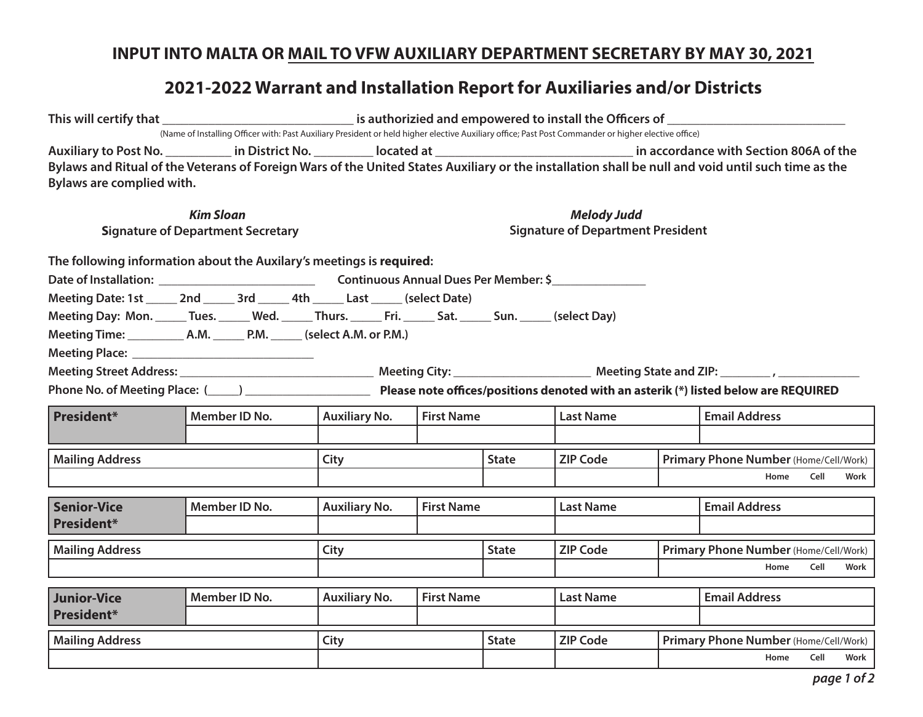## **INPUT INTO MALTA OR MAIL TO VFW AUXILIARY DEPARTMENT SECRETARY BY MAY 30, 2021**

## **2021-2022 Warrant and Installation Report for Auxiliaries and/or Districts**

|                                                                                                                                                                                                        | (Name of Installing Officer with: Past Auxiliary President or held higher elective Auxiliary office; Past Post Commander or higher elective office) |                                           |  |              |                                                                                                                                                   |                                                       |                                               |      |      |  |
|--------------------------------------------------------------------------------------------------------------------------------------------------------------------------------------------------------|-----------------------------------------------------------------------------------------------------------------------------------------------------|-------------------------------------------|--|--------------|---------------------------------------------------------------------------------------------------------------------------------------------------|-------------------------------------------------------|-----------------------------------------------|------|------|--|
|                                                                                                                                                                                                        |                                                                                                                                                     |                                           |  |              | Auxiliary to Post No. ___________ in District No. __________ located at __________________________________ in accordance with Section 806A of the |                                                       |                                               |      |      |  |
| Bylaws and Ritual of the Veterans of Foreign Wars of the United States Auxiliary or the installation shall be null and void until such time as the<br>Bylaws are complied with.                        |                                                                                                                                                     |                                           |  |              |                                                                                                                                                   |                                                       |                                               |      |      |  |
| <b>Kim Sloan</b><br><b>Signature of Department Secretary</b>                                                                                                                                           | <b>Melody Judd</b><br><b>Signature of Department President</b>                                                                                      |                                           |  |              |                                                                                                                                                   |                                                       |                                               |      |      |  |
| The following information about the Auxilary's meetings is required:                                                                                                                                   |                                                                                                                                                     |                                           |  |              |                                                                                                                                                   |                                                       |                                               |      |      |  |
| Meeting Date: 1st ______ 2nd ______ 3rd ______ 4th ______ Last ______ (select Date)<br>Meeting Day: Mon. ______ Tues. ______ Wed. ______ Thurs. ______ Fri. ______ Sat. ______ Sun. _____ (select Day) |                                                                                                                                                     |                                           |  |              |                                                                                                                                                   |                                                       |                                               |      |      |  |
|                                                                                                                                                                                                        |                                                                                                                                                     |                                           |  |              |                                                                                                                                                   |                                                       |                                               |      |      |  |
| Phone No. of Meeting Place: (1992) 2022 2023 Please note offices/positions denoted with an asterik (*) listed below are REQUIRED                                                                       |                                                                                                                                                     |                                           |  |              |                                                                                                                                                   |                                                       |                                               |      |      |  |
| <b>President*</b>                                                                                                                                                                                      | Member ID No.                                                                                                                                       | <b>First Name</b><br><b>Auxiliary No.</b> |  |              | <b>Last Name</b>                                                                                                                                  |                                                       | <b>Email Address</b>                          |      |      |  |
| <b>Mailing Address</b>                                                                                                                                                                                 |                                                                                                                                                     | City                                      |  | <b>State</b> | <b>ZIP Code</b>                                                                                                                                   | Primary Phone Number (Home/Cell/Work)<br>Home<br>Cell |                                               | Work |      |  |
| <b>Senior-Vice</b><br>President*                                                                                                                                                                       | Member ID No.                                                                                                                                       | <b>First Name</b><br><b>Auxiliary No.</b> |  |              | <b>Last Name</b>                                                                                                                                  |                                                       | <b>Email Address</b>                          |      |      |  |
| <b>Mailing Address</b>                                                                                                                                                                                 |                                                                                                                                                     | City                                      |  | <b>State</b> | <b>ZIP Code</b>                                                                                                                                   |                                                       | Primary Phone Number (Home/Cell/Work)         |      |      |  |
|                                                                                                                                                                                                        |                                                                                                                                                     |                                           |  |              |                                                                                                                                                   |                                                       | Home                                          | Cell | Work |  |
| <b>Junior-Vice</b><br><b>President*</b>                                                                                                                                                                | Member ID No.                                                                                                                                       | <b>Auxiliary No.</b><br><b>First Name</b> |  |              | <b>Last Name</b>                                                                                                                                  |                                                       | <b>Email Address</b>                          |      |      |  |
| <b>Mailing Address</b>                                                                                                                                                                                 |                                                                                                                                                     | City                                      |  | <b>State</b> | <b>ZIP Code</b>                                                                                                                                   |                                                       | Primary Phone Number (Home/Cell/Work)<br>Home | Cell | Work |  |